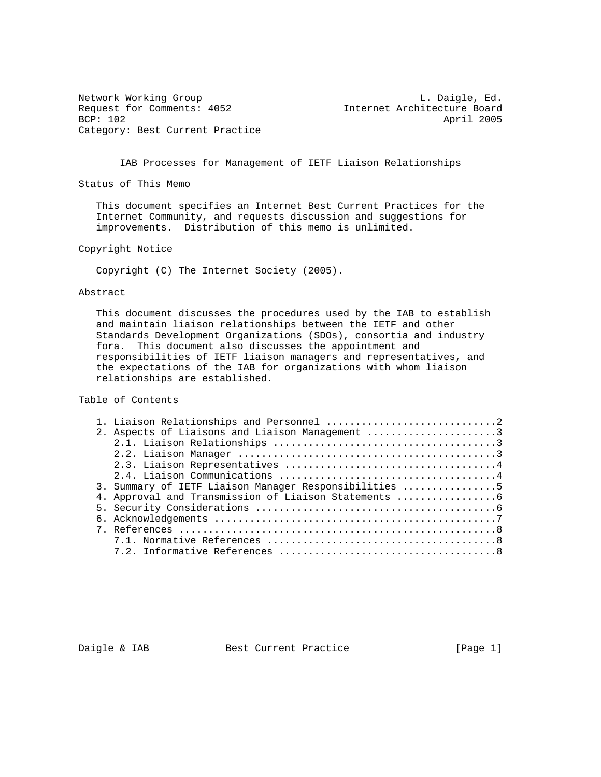Network Working Group Letter Communications and the U. Daigle, Ed. Request for Comments: 4052 Internet Architecture Board BCP: 102 April 2005 Category: Best Current Practice

IAB Processes for Management of IETF Liaison Relationships

Status of This Memo

 This document specifies an Internet Best Current Practices for the Internet Community, and requests discussion and suggestions for improvements. Distribution of this memo is unlimited.

Copyright Notice

Copyright (C) The Internet Society (2005).

## Abstract

 This document discusses the procedures used by the IAB to establish and maintain liaison relationships between the IETF and other Standards Development Organizations (SDOs), consortia and industry fora. This document also discusses the appointment and responsibilities of IETF liaison managers and representatives, and the expectations of the IAB for organizations with whom liaison relationships are established.

Table of Contents

|  | 2. Aspects of Liaisons and Liaison Management 3       |
|--|-------------------------------------------------------|
|  |                                                       |
|  |                                                       |
|  |                                                       |
|  |                                                       |
|  | 3. Summary of IETF Liaison Manager Responsibilities 5 |
|  |                                                       |
|  |                                                       |
|  |                                                       |
|  |                                                       |
|  |                                                       |
|  |                                                       |
|  |                                                       |

Daigle & IAB Best Current Practice [Page 1]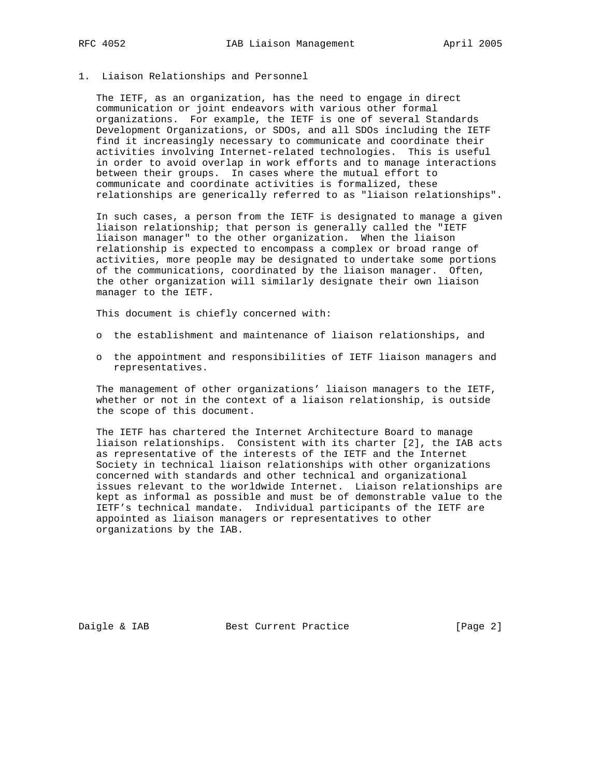## 1. Liaison Relationships and Personnel

 The IETF, as an organization, has the need to engage in direct communication or joint endeavors with various other formal organizations. For example, the IETF is one of several Standards Development Organizations, or SDOs, and all SDOs including the IETF find it increasingly necessary to communicate and coordinate their activities involving Internet-related technologies. This is useful in order to avoid overlap in work efforts and to manage interactions between their groups. In cases where the mutual effort to communicate and coordinate activities is formalized, these relationships are generically referred to as "liaison relationships".

 In such cases, a person from the IETF is designated to manage a given liaison relationship; that person is generally called the "IETF liaison manager" to the other organization. When the liaison relationship is expected to encompass a complex or broad range of activities, more people may be designated to undertake some portions of the communications, coordinated by the liaison manager. Often, the other organization will similarly designate their own liaison manager to the IETF.

This document is chiefly concerned with:

- o the establishment and maintenance of liaison relationships, and
- o the appointment and responsibilities of IETF liaison managers and representatives.

 The management of other organizations' liaison managers to the IETF, whether or not in the context of a liaison relationship, is outside the scope of this document.

 The IETF has chartered the Internet Architecture Board to manage liaison relationships. Consistent with its charter [2], the IAB acts as representative of the interests of the IETF and the Internet Society in technical liaison relationships with other organizations concerned with standards and other technical and organizational issues relevant to the worldwide Internet. Liaison relationships are kept as informal as possible and must be of demonstrable value to the IETF's technical mandate. Individual participants of the IETF are appointed as liaison managers or representatives to other organizations by the IAB.

Daigle & IAB Best Current Practice [Page 2]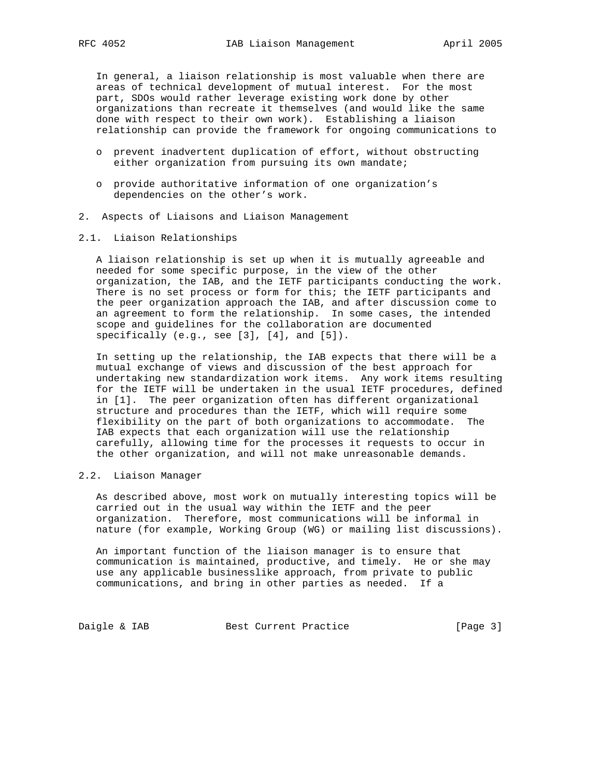In general, a liaison relationship is most valuable when there are areas of technical development of mutual interest. For the most part, SDOs would rather leverage existing work done by other organizations than recreate it themselves (and would like the same done with respect to their own work). Establishing a liaison relationship can provide the framework for ongoing communications to

- o prevent inadvertent duplication of effort, without obstructing either organization from pursuing its own mandate;
- o provide authoritative information of one organization's dependencies on the other's work.
- 2. Aspects of Liaisons and Liaison Management
- 2.1. Liaison Relationships

 A liaison relationship is set up when it is mutually agreeable and needed for some specific purpose, in the view of the other organization, the IAB, and the IETF participants conducting the work. There is no set process or form for this; the IETF participants and the peer organization approach the IAB, and after discussion come to an agreement to form the relationship. In some cases, the intended scope and guidelines for the collaboration are documented specifically (e.g., see [3], [4], and [5]).

 In setting up the relationship, the IAB expects that there will be a mutual exchange of views and discussion of the best approach for undertaking new standardization work items. Any work items resulting for the IETF will be undertaken in the usual IETF procedures, defined in [1]. The peer organization often has different organizational structure and procedures than the IETF, which will require some flexibility on the part of both organizations to accommodate. The IAB expects that each organization will use the relationship carefully, allowing time for the processes it requests to occur in the other organization, and will not make unreasonable demands.

#### 2.2. Liaison Manager

 As described above, most work on mutually interesting topics will be carried out in the usual way within the IETF and the peer organization. Therefore, most communications will be informal in nature (for example, Working Group (WG) or mailing list discussions).

 An important function of the liaison manager is to ensure that communication is maintained, productive, and timely. He or she may use any applicable businesslike approach, from private to public communications, and bring in other parties as needed. If a

Daigle & IAB Best Current Practice [Page 3]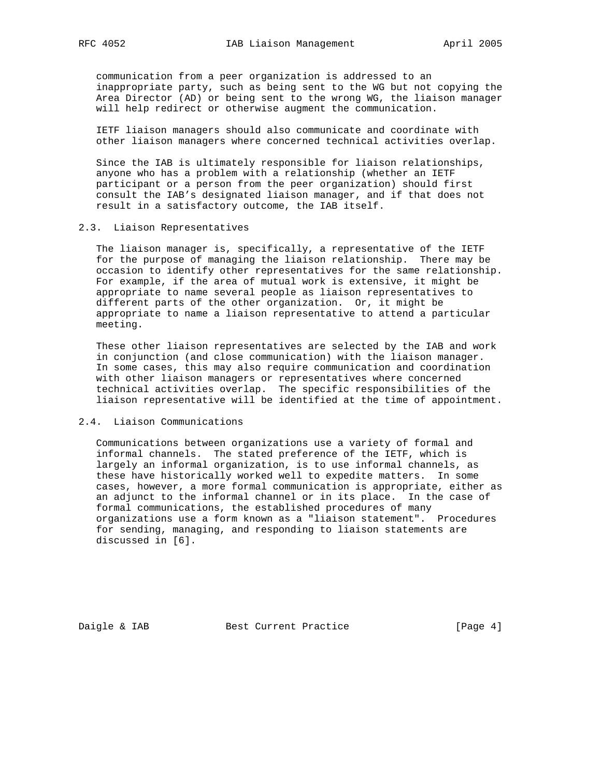communication from a peer organization is addressed to an inappropriate party, such as being sent to the WG but not copying the Area Director (AD) or being sent to the wrong WG, the liaison manager will help redirect or otherwise augment the communication.

 IETF liaison managers should also communicate and coordinate with other liaison managers where concerned technical activities overlap.

 Since the IAB is ultimately responsible for liaison relationships, anyone who has a problem with a relationship (whether an IETF participant or a person from the peer organization) should first consult the IAB's designated liaison manager, and if that does not result in a satisfactory outcome, the IAB itself.

#### 2.3. Liaison Representatives

 The liaison manager is, specifically, a representative of the IETF for the purpose of managing the liaison relationship. There may be occasion to identify other representatives for the same relationship. For example, if the area of mutual work is extensive, it might be appropriate to name several people as liaison representatives to different parts of the other organization. Or, it might be appropriate to name a liaison representative to attend a particular meeting.

 These other liaison representatives are selected by the IAB and work in conjunction (and close communication) with the liaison manager. In some cases, this may also require communication and coordination with other liaison managers or representatives where concerned technical activities overlap. The specific responsibilities of the liaison representative will be identified at the time of appointment.

### 2.4. Liaison Communications

 Communications between organizations use a variety of formal and informal channels. The stated preference of the IETF, which is largely an informal organization, is to use informal channels, as these have historically worked well to expedite matters. In some cases, however, a more formal communication is appropriate, either as an adjunct to the informal channel or in its place. In the case of formal communications, the established procedures of many organizations use a form known as a "liaison statement". Procedures for sending, managing, and responding to liaison statements are discussed in [6].

Daigle & IAB Best Current Practice [Page 4]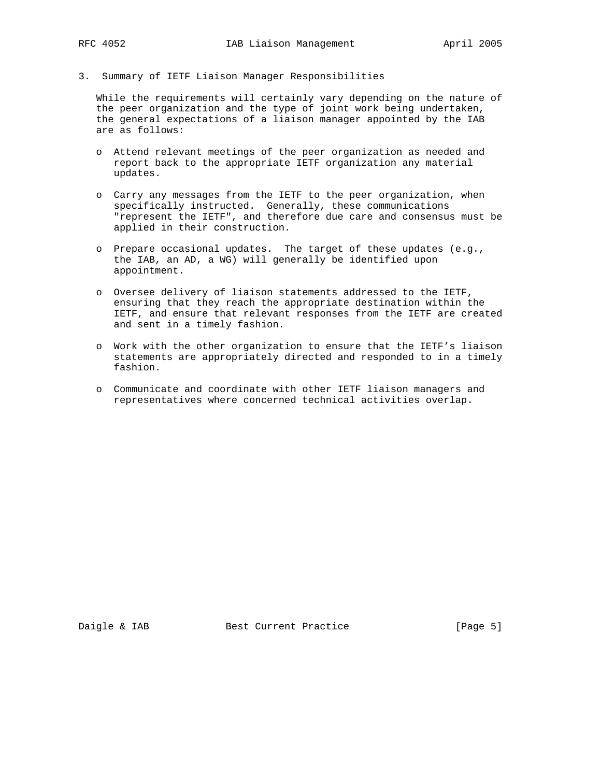3. Summary of IETF Liaison Manager Responsibilities

 While the requirements will certainly vary depending on the nature of the peer organization and the type of joint work being undertaken, the general expectations of a liaison manager appointed by the IAB are as follows:

- o Attend relevant meetings of the peer organization as needed and report back to the appropriate IETF organization any material updates.
- o Carry any messages from the IETF to the peer organization, when specifically instructed. Generally, these communications "represent the IETF", and therefore due care and consensus must be applied in their construction.
- o Prepare occasional updates. The target of these updates (e.g., the IAB, an AD, a WG) will generally be identified upon appointment.
- o Oversee delivery of liaison statements addressed to the IETF, ensuring that they reach the appropriate destination within the IETF, and ensure that relevant responses from the IETF are created and sent in a timely fashion.
- o Work with the other organization to ensure that the IETF's liaison statements are appropriately directed and responded to in a timely fashion.
- o Communicate and coordinate with other IETF liaison managers and representatives where concerned technical activities overlap.

Daigle & IAB Best Current Practice [Page 5]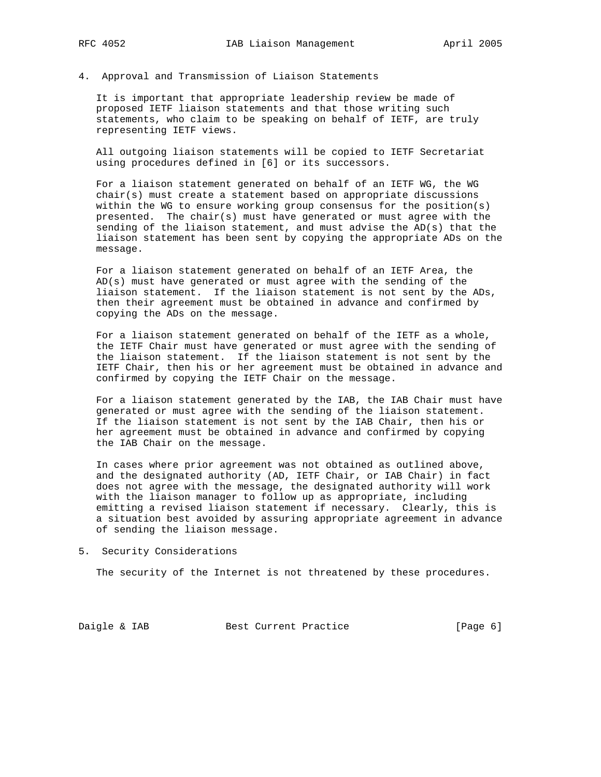4. Approval and Transmission of Liaison Statements

 It is important that appropriate leadership review be made of proposed IETF liaison statements and that those writing such statements, who claim to be speaking on behalf of IETF, are truly representing IETF views.

 All outgoing liaison statements will be copied to IETF Secretariat using procedures defined in [6] or its successors.

 For a liaison statement generated on behalf of an IETF WG, the WG chair(s) must create a statement based on appropriate discussions within the WG to ensure working group consensus for the position(s) presented. The chair(s) must have generated or must agree with the sending of the liaison statement, and must advise the  $AD(s)$  that the liaison statement has been sent by copying the appropriate ADs on the message.

 For a liaison statement generated on behalf of an IETF Area, the AD(s) must have generated or must agree with the sending of the liaison statement. If the liaison statement is not sent by the ADs, then their agreement must be obtained in advance and confirmed by copying the ADs on the message.

 For a liaison statement generated on behalf of the IETF as a whole, the IETF Chair must have generated or must agree with the sending of the liaison statement. If the liaison statement is not sent by the IETF Chair, then his or her agreement must be obtained in advance and confirmed by copying the IETF Chair on the message.

 For a liaison statement generated by the IAB, the IAB Chair must have generated or must agree with the sending of the liaison statement. If the liaison statement is not sent by the IAB Chair, then his or her agreement must be obtained in advance and confirmed by copying the IAB Chair on the message.

 In cases where prior agreement was not obtained as outlined above, and the designated authority (AD, IETF Chair, or IAB Chair) in fact does not agree with the message, the designated authority will work with the liaison manager to follow up as appropriate, including emitting a revised liaison statement if necessary. Clearly, this is a situation best avoided by assuring appropriate agreement in advance of sending the liaison message.

5. Security Considerations

The security of the Internet is not threatened by these procedures.

Daigle & IAB Best Current Practice [Page 6]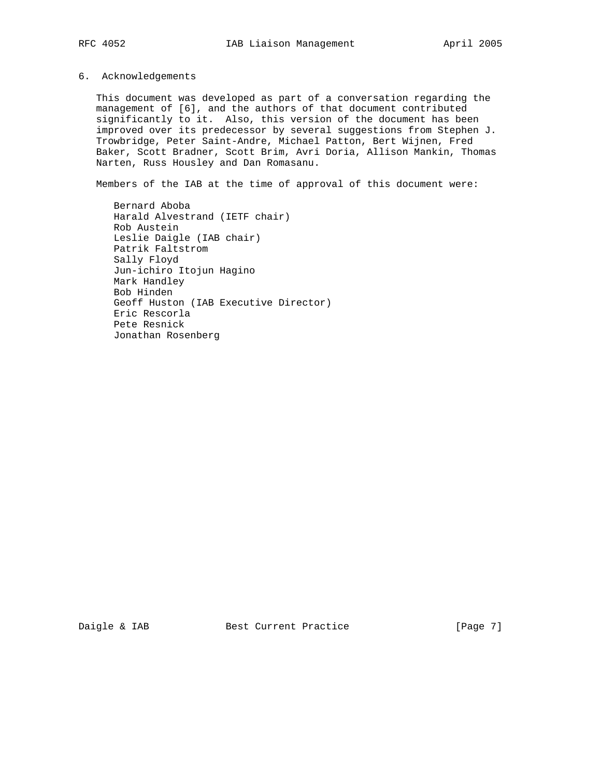## 6. Acknowledgements

 This document was developed as part of a conversation regarding the management of [6], and the authors of that document contributed significantly to it. Also, this version of the document has been improved over its predecessor by several suggestions from Stephen J. Trowbridge, Peter Saint-Andre, Michael Patton, Bert Wijnen, Fred Baker, Scott Bradner, Scott Brim, Avri Doria, Allison Mankin, Thomas Narten, Russ Housley and Dan Romasanu.

Members of the IAB at the time of approval of this document were:

 Bernard Aboba Harald Alvestrand (IETF chair) Rob Austein Leslie Daigle (IAB chair) Patrik Faltstrom Sally Floyd Jun-ichiro Itojun Hagino Mark Handley Bob Hinden Geoff Huston (IAB Executive Director) Eric Rescorla Pete Resnick Jonathan Rosenberg

Daigle & IAB Best Current Practice [Page 7]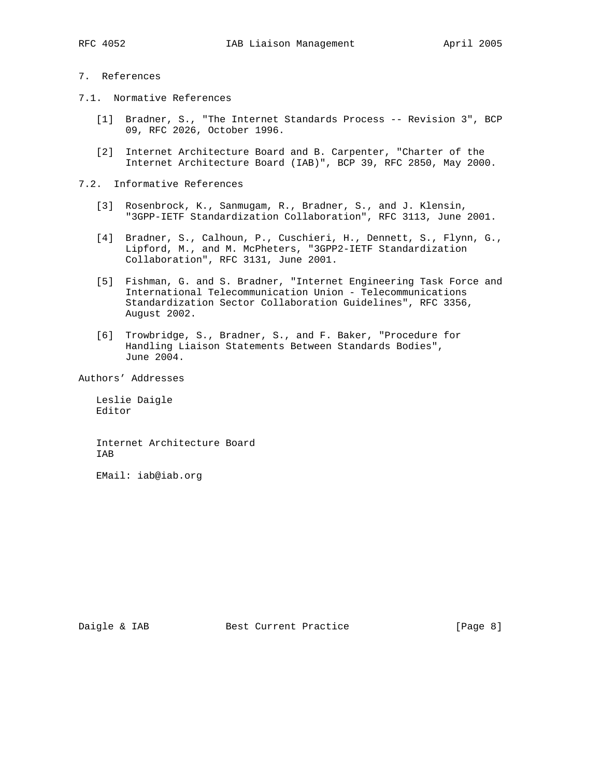# 7. References

- 7.1. Normative References
	- [1] Bradner, S., "The Internet Standards Process -- Revision 3", BCP 09, RFC 2026, October 1996.
	- [2] Internet Architecture Board and B. Carpenter, "Charter of the Internet Architecture Board (IAB)", BCP 39, RFC 2850, May 2000.
- 7.2. Informative References
	- [3] Rosenbrock, K., Sanmugam, R., Bradner, S., and J. Klensin, "3GPP-IETF Standardization Collaboration", RFC 3113, June 2001.
	- [4] Bradner, S., Calhoun, P., Cuschieri, H., Dennett, S., Flynn, G., Lipford, M., and M. McPheters, "3GPP2-IETF Standardization Collaboration", RFC 3131, June 2001.
	- [5] Fishman, G. and S. Bradner, "Internet Engineering Task Force and International Telecommunication Union - Telecommunications Standardization Sector Collaboration Guidelines", RFC 3356, August 2002.
	- [6] Trowbridge, S., Bradner, S., and F. Baker, "Procedure for Handling Liaison Statements Between Standards Bodies", June 2004.

Authors' Addresses

 Leslie Daigle Editor

 Internet Architecture Board IAB

EMail: iab@iab.org

Daigle & IAB Best Current Practice [Page 8]